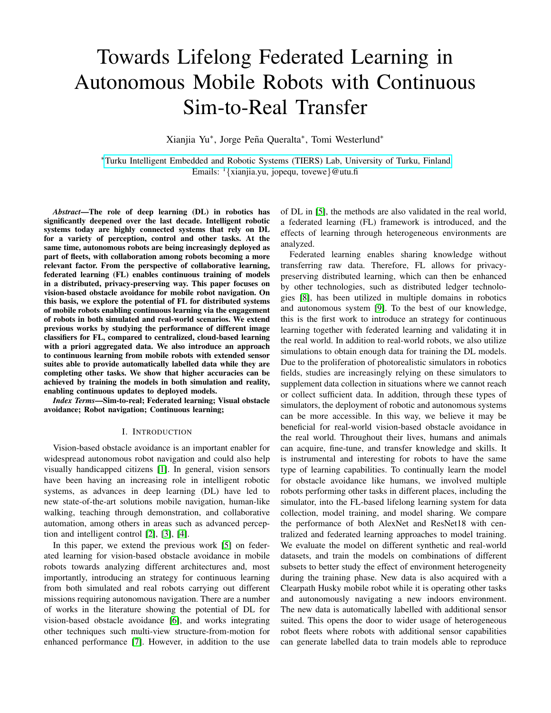# Towards Lifelong Federated Learning in Autonomous Mobile Robots with Continuous Sim-to-Real Transfer

Xianjia Yu<sup>\*</sup>, Jorge Peña Queralta<sup>\*</sup>, Tomi Westerlund<sup>\*</sup>

<sup>∗</sup>[Turku Intelligent Embedded and Robotic Systems \(TIERS\) Lab, University of Turku, Finland.](https://tiers.utu.fi) Emails:  $\frac{1}{x}$ ianjia.yu, jopequ, tovewe}@utu.fi

*Abstract*—The role of deep learning (DL) in robotics has significantly deepened over the last decade. Intelligent robotic systems today are highly connected systems that rely on DL for a variety of perception, control and other tasks. At the same time, autonomous robots are being increasingly deployed as part of fleets, with collaboration among robots becoming a more relevant factor. From the perspective of collaborative learning, federated learning (FL) enables continuous training of models in a distributed, privacy-preserving way. This paper focuses on vision-based obstacle avoidance for mobile robot navigation. On this basis, we explore the potential of FL for distributed systems of mobile robots enabling continuous learning via the engagement of robots in both simulated and real-world scenarios. We extend previous works by studying the performance of different image classifiers for FL, compared to centralized, cloud-based learning with a priori aggregated data. We also introduce an approach to continuous learning from mobile robots with extended sensor suites able to provide automatically labelled data while they are completing other tasks. We show that higher accuracies can be achieved by training the models in both simulation and reality, enabling continuous updates to deployed models.

*Index Terms*—Sim-to-real; Federated learning; Visual obstacle avoidance; Robot navigation; Continuous learning;

#### I. INTRODUCTION

Vision-based obstacle avoidance is an important enabler for widespread autonomous robot navigation and could also help visually handicapped citizens [\[1\]](#page-5-0). In general, vision sensors have been having an increasing role in intelligent robotic systems, as advances in deep learning (DL) have led to new state-of-the-art solutions mobile navigation, human-like walking, teaching through demonstration, and collaborative automation, among others in areas such as advanced perception and intelligent control [\[2\]](#page-5-1), [\[3\]](#page-5-2), [\[4\]](#page-5-3).

In this paper, we extend the previous work [\[5\]](#page-5-4) on federated learning for vision-based obstacle avoidance in mobile robots towards analyzing different architectures and, most importantly, introducing an strategy for continuous learning from both simulated and real robots carrying out different missions requiring autonomous navigation. There are a number of works in the literature showing the potential of DL for vision-based obstacle avoidance [\[6\]](#page-5-5), and works integrating other techniques such multi-view structure-from-motion for enhanced performance [\[7\]](#page-5-6). However, in addition to the use of DL in [\[5\]](#page-5-4), the methods are also validated in the real world, a federated learning (FL) framework is introduced, and the effects of learning through heterogeneous environments are analyzed.

Federated learning enables sharing knowledge without transferring raw data. Therefore, FL allows for privacypreserving distributed learning, which can then be enhanced by other technologies, such as distributed ledger technologies [\[8\]](#page-5-7), has been utilized in multiple domains in robotics and autonomous system [\[9\]](#page-5-8). To the best of our knowledge, this is the first work to introduce an strategy for continuous learning together with federated learning and validating it in the real world. In addition to real-world robots, we also utilize simulations to obtain enough data for training the DL models. Due to the proliferation of photorealistic simulators in robotics fields, studies are increasingly relying on these simulators to supplement data collection in situations where we cannot reach or collect sufficient data. In addition, through these types of simulators, the deployment of robotic and autonomous systems can be more accessible. In this way, we believe it may be beneficial for real-world vision-based obstacle avoidance in the real world. Throughout their lives, humans and animals can acquire, fine-tune, and transfer knowledge and skills. It is instrumental and interesting for robots to have the same type of learning capabilities. To continually learn the model for obstacle avoidance like humans, we involved multiple robots performing other tasks in different places, including the simulator, into the FL-based lifelong learning system for data collection, model training, and model sharing. We compare the performance of both AlexNet and ResNet18 with centralized and federated learning approaches to model training. We evaluate the model on different synthetic and real-world datasets, and train the models on combinations of different subsets to better study the effect of environment heterogeneity during the training phase. New data is also acquired with a Clearpath Husky mobile robot while it is operating other tasks and autonomously navigating a new indoors environment. The new data is automatically labelled with additional sensor suited. This opens the door to wider usage of heterogeneous robot fleets where robots with additional sensor capabilities can generate labelled data to train models able to reproduce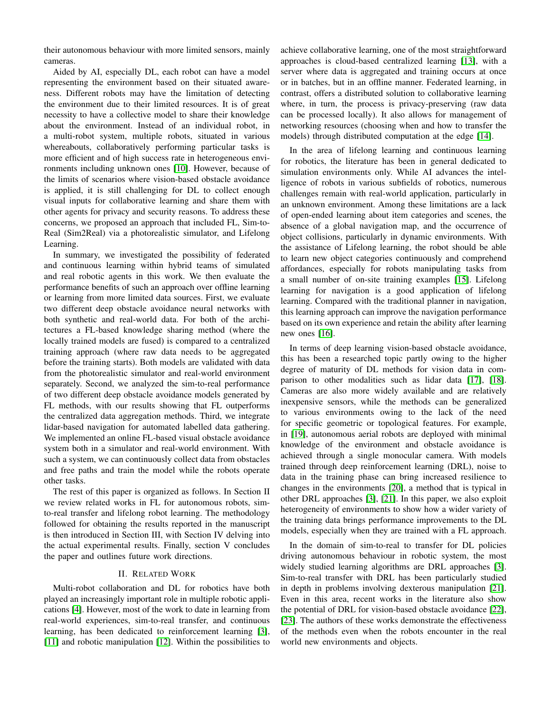their autonomous behaviour with more limited sensors, mainly cameras.

Aided by AI, especially DL, each robot can have a model representing the environment based on their situated awareness. Different robots may have the limitation of detecting the environment due to their limited resources. It is of great necessity to have a collective model to share their knowledge about the environment. Instead of an individual robot, in a multi-robot system, multiple robots, situated in various whereabouts, collaboratively performing particular tasks is more efficient and of high success rate in heterogeneous environments including unknown ones [\[10\]](#page-5-9). However, because of the limits of scenarios where vision-based obstacle avoidance is applied, it is still challenging for DL to collect enough visual inputs for collaborative learning and share them with other agents for privacy and security reasons. To address these concerns, we proposed an approach that included FL, Sim-to-Real (Sim2Real) via a photorealistic simulator, and Lifelong Learning.

In summary, we investigated the possibility of federated and continuous learning within hybrid teams of simulated and real robotic agents in this work. We then evaluate the performance benefits of such an approach over offline learning or learning from more limited data sources. First, we evaluate two different deep obstacle avoidance neural networks with both synthetic and real-world data. For both of the architectures a FL-based knowledge sharing method (where the locally trained models are fused) is compared to a centralized training approach (where raw data needs to be aggregated before the training starts). Both models are validated with data from the photorealistic simulator and real-world environment separately. Second, we analyzed the sim-to-real performance of two different deep obstacle avoidance models generated by FL methods, with our results showing that FL outperforms the centralized data aggregation methods. Third, we integrate lidar-based navigation for automated labelled data gathering. We implemented an online FL-based visual obstacle avoidance system both in a simulator and real-world environment. With such a system, we can continuously collect data from obstacles and free paths and train the model while the robots operate other tasks.

The rest of this paper is organized as follows. In Section II we review related works in FL for autonomous robots, simto-real transfer and lifelong robot learning. The methodology followed for obtaining the results reported in the manuscript is then introduced in Section III, with Section IV delving into the actual experimental results. Finally, section V concludes the paper and outlines future work directions.

#### II. RELATED WORK

Multi-robot collaboration and DL for robotics have both played an increasingly important role in multiple robotic applications [\[4\]](#page-5-3). However, most of the work to date in learning from real-world experiences, sim-to-real transfer, and continuous learning, has been dedicated to reinforcement learning [\[3\]](#page-5-2), [\[11\]](#page-5-10) and robotic manipulation [\[12\]](#page-5-11). Within the possibilities to achieve collaborative learning, one of the most straightforward approaches is cloud-based centralized learning [\[13\]](#page-5-12), with a server where data is aggregated and training occurs at once or in batches, but in an offline manner. Federated learning, in contrast, offers a distributed solution to collaborative learning where, in turn, the process is privacy-preserving (raw data can be processed locally). It also allows for management of networking resources (choosing when and how to transfer the models) through distributed computation at the edge [\[14\]](#page-5-13).

In the area of lifelong learning and continuous learning for robotics, the literature has been in general dedicated to simulation environments only. While AI advances the intelligence of robots in various subfields of robotics, numerous challenges remain with real-world application, particularly in an unknown environment. Among these limitations are a lack of open-ended learning about item categories and scenes, the absence of a global navigation map, and the occurrence of object collisions, particularly in dynamic environments. With the assistance of Lifelong learning, the robot should be able to learn new object categories continuously and comprehend affordances, especially for robots manipulating tasks from a small number of on-site training examples [\[15\]](#page-5-14). Lifelong learning for navigation is a good application of lifelong learning. Compared with the traditional planner in navigation, this learning approach can improve the navigation performance based on its own experience and retain the ability after learning new ones [\[16\]](#page-5-15).

In terms of deep learning vision-based obstacle avoidance, this has been a researched topic partly owing to the higher degree of maturity of DL methods for vision data in comparison to other modalities such as lidar data [\[17\]](#page-5-16), [\[18\]](#page-5-17). Cameras are also more widely available and are relatively inexpensive sensors, while the methods can be generalized to various environments owing to the lack of the need for specific geometric or topological features. For example, in [\[19\]](#page-5-18), autonomous aerial robots are deployed with minimal knowledge of the environment and obstacle avoidance is achieved through a single monocular camera. With models trained through deep reinforcement learning (DRL), noise to data in the training phase can bring increased resilience to changes in the environments [\[20\]](#page-5-19), a method that is typical in other DRL approaches [\[3\]](#page-5-2), [\[21\]](#page-5-20). In this paper, we also exploit heterogeneity of environments to show how a wider variety of the training data brings performance improvements to the DL models, especially when they are trained with a FL approach.

In the domain of sim-to-real to transfer for DL policies driving autonomous behaviour in robotic system, the most widely studied learning algorithms are DRL approaches [\[3\]](#page-5-2). Sim-to-real transfer with DRL has been particularly studied in depth in problems involving dexterous manipulation [\[21\]](#page-5-20). Even in this area, recent works in the literature also show the potential of DRL for vision-based obstacle avoidance [\[22\]](#page-5-21), [\[23\]](#page-5-22). The authors of these works demonstrate the effectiveness of the methods even when the robots encounter in the real world new environments and objects.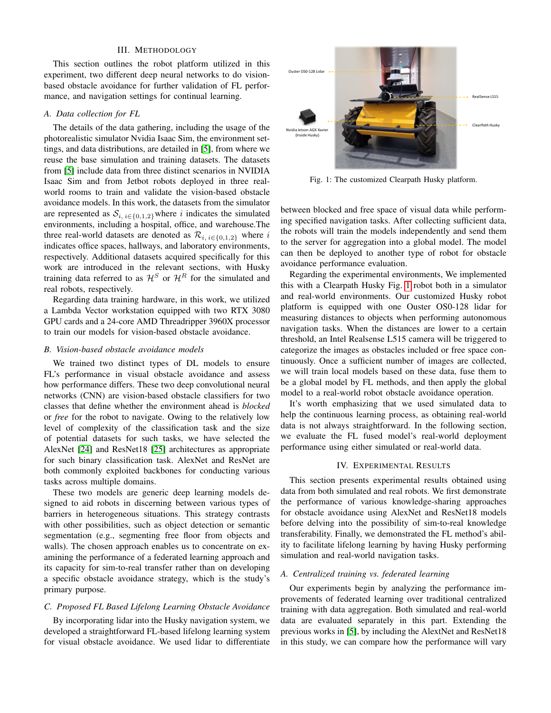#### III. METHODOLOGY

This section outlines the robot platform utilized in this experiment, two different deep neural networks to do visionbased obstacle avoidance for further validation of FL performance, and navigation settings for continual learning.

## *A. Data collection for FL*

The details of the data gathering, including the usage of the photorealistic simulator Nvidia Isaac Sim, the environment settings, and data distributions, are detailed in [\[5\]](#page-5-4), from where we reuse the base simulation and training datasets. The datasets from [\[5\]](#page-5-4) include data from three distinct scenarios in NVIDIA Isaac Sim and from Jetbot robots deployed in three realworld rooms to train and validate the vision-based obstacle avoidance models. In this work, the datasets from the simulator are represented as  $S_{i, i \in \{0,1,2\}}$  where i indicates the simulated environments, including a hospital, office, and warehouse.The three real-world datasets are denoted as  $\mathcal{R}_{i, i \in \{0,1,2\}}$  where i indicates office spaces, hallways, and laboratory environments, respectively. Additional datasets acquired specifically for this work are introduced in the relevant sections, with Husky training data referred to as  $\mathcal{H}^S$  or  $\mathcal{H}^R$  for the simulated and real robots, respectively.

Regarding data training hardware, in this work, we utilized a Lambda Vector workstation equipped with two RTX 3080 GPU cards and a 24-core AMD Threadripper 3960X processor to train our models for vision-based obstacle avoidance.

#### *B. Vision-based obstacle avoidance models*

We trained two distinct types of DL models to ensure FL's performance in visual obstacle avoidance and assess how performance differs. These two deep convolutional neural networks (CNN) are vision-based obstacle classifiers for two classes that define whether the environment ahead is *blocked* or *free* for the robot to navigate. Owing to the relatively low level of complexity of the classification task and the size of potential datasets for such tasks, we have selected the AlexNet [\[24\]](#page-5-23) and ResNet18 [\[25\]](#page-5-24) architectures as appropriate for such binary classification task. AlexNet and ResNet are both commonly exploited backbones for conducting various tasks across multiple domains.

These two models are generic deep learning models designed to aid robots in discerning between various types of barriers in heterogeneous situations. This strategy contrasts with other possibilities, such as object detection or semantic segmentation (e.g., segmenting free floor from objects and walls). The chosen approach enables us to concentrate on examining the performance of a federated learning approach and its capacity for sim-to-real transfer rather than on developing a specific obstacle avoidance strategy, which is the study's primary purpose.

## *C. Proposed FL Based Lifelong Learning Obstacle Avoidance*

By incorporating lidar into the Husky navigation system, we developed a straightforward FL-based lifelong learning system for visual obstacle avoidance. We used lidar to differentiate

<span id="page-2-0"></span>

Fig. 1: The customized Clearpath Husky platform.

between blocked and free space of visual data while performing specified navigation tasks. After collecting sufficient data, the robots will train the models independently and send them to the server for aggregation into a global model. The model can then be deployed to another type of robot for obstacle avoidance performance evaluation.

Regarding the experimental environments, We implemented this with a Clearpath Husky Fig. [1](#page-2-0) robot both in a simulator and real-world environments. Our customized Husky robot platform is equipped with one Ouster OS0-128 lidar for measuring distances to objects when performing autonomous navigation tasks. When the distances are lower to a certain threshold, an Intel Realsense L515 camera will be triggered to categorize the images as obstacles included or free space continuously. Once a sufficient number of images are collected, we will train local models based on these data, fuse them to be a global model by FL methods, and then apply the global model to a real-world robot obstacle avoidance operation.

It's worth emphasizing that we used simulated data to help the continuous learning process, as obtaining real-world data is not always straightforward. In the following section, we evaluate the FL fused model's real-world deployment performance using either simulated or real-world data.

## IV. EXPERIMENTAL RESULTS

This section presents experimental results obtained using data from both simulated and real robots. We first demonstrate the performance of various knowledge-sharing approaches for obstacle avoidance using AlexNet and ResNet18 models before delving into the possibility of sim-to-real knowledge transferability. Finally, we demonstrated the FL method's ability to facilitate lifelong learning by having Husky performing simulation and real-world navigation tasks.

#### *A. Centralized training vs. federated learning*

Our experiments begin by analyzing the performance improvements of federated learning over traditional centralized training with data aggregation. Both simulated and real-world data are evaluated separately in this part. Extending the previous works in [\[5\]](#page-5-4), by including the AlextNet and ResNet18 in this study, we can compare how the performance will vary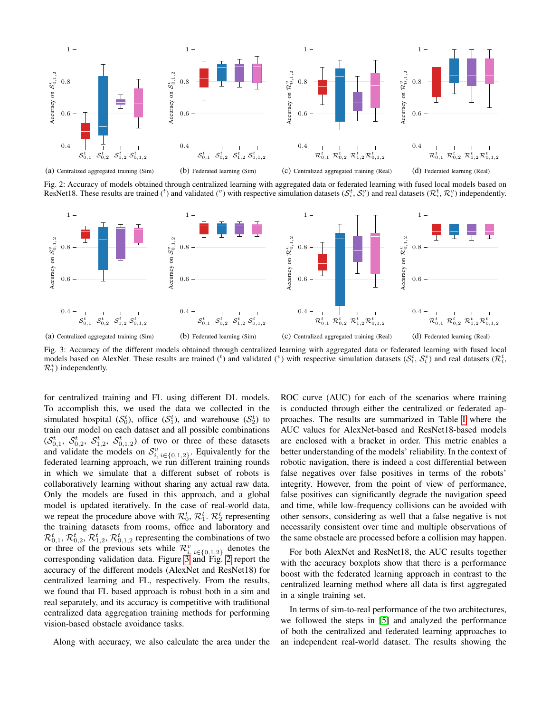<span id="page-3-1"></span>

(a) Centralized aggregated training (Sim)

(b) Federated learning (Sim)

(c) Centralized aggregated training (Real)

(d) Federated learning (Real)

Fig. 2: Accuracy of models obtained through centralized learning with aggregated data or federated learning with fused local models based on ResNet18. These results are trained (<sup>t</sup>) and validated (<sup>v</sup>) with respective simulation datasets ( $S_i^t, S_i^v$ ) and real datasets ( $\mathcal{R}_i^t, \mathcal{R}_i^v$ ) independently.

<span id="page-3-0"></span>

Fig. 3: Accuracy of the different models obtained through centralized learning with aggregated data or federated learning with fused local models based on AlexNet. These results are trained (<sup>t</sup>) and validated (<sup>v</sup>) with respective simulation datasets ( $S_i^t$ ,  $S_i^v$ ) and real datasets ( $\mathcal{R}_i^t$ ,  $\mathcal{R}_i^v$ ) independently.

for centralized training and FL using different DL models. To accomplish this, we used the data we collected in the simulated hospital  $(S_0^t)$ , office  $(S_1^t)$ , and warehouse  $(S_2^t)$  to train our model on each dataset and all possible combinations  $(S_{0,1}^t, S_{0,2}^t, S_{1,2}^t, S_{0,1,2}^t)$  of two or three of these datasets and validate the models on  $S^v_{i, i \in \{0,1,2\}}$ . Equivalently for the federated learning approach, we run different training rounds in which we simulate that a different subset of robots is collaboratively learning without sharing any actual raw data. Only the models are fused in this approach, and a global model is updated iteratively. In the case of real-world data, we repeat the procedure above with  $\mathcal{R}_0^t$ ,  $\mathcal{R}_1^t$ .  $\mathcal{R}_2^t$  representing the training datasets from rooms, office and laboratory and  $\mathcal{R}_{0,1}^t$ ,  $\mathcal{R}_{0,2}^t$ ,  $\mathcal{R}_{1,2}^t$ ,  $\mathcal{R}_{0,1,2}^t$  representing the combinations of two or three of the previous sets while  $\mathcal{R}_{i, i \in \{0,1,2\}}^v$  denotes the corresponding validation data. Figure [3](#page-3-0) and Fig. [2](#page-3-1) report the accuracy of the different models (AlexNet and ResNet18) for centralized learning and FL, respectively. From the results, we found that FL based approach is robust both in a sim and real separately, and its accuracy is competitive with traditional centralized data aggregation training methods for performing vision-based obstacle avoidance tasks.

Along with accuracy, we also calculate the area under the

ROC curve (AUC) for each of the scenarios where training is conducted through either the centralized or federated approaches. The results are summarized in Table [I](#page-4-0) where the AUC values for AlexNet-based and ResNet18-based models are enclosed with a bracket in order. This metric enables a better understanding of the models' reliability. In the context of robotic navigation, there is indeed a cost differential between false negatives over false positives in terms of the robots' integrity. However, from the point of view of performance, false positives can significantly degrade the navigation speed and time, while low-frequency collisions can be avoided with other sensors, considering as well that a false negative is not necessarily consistent over time and multiple observations of the same obstacle are processed before a collision may happen.

For both AlexNet and ResNet18, the AUC results together with the accuracy boxplots show that there is a performance boost with the federated learning approach in contrast to the centralized learning method where all data is first aggregated in a single training set.

In terms of sim-to-real performance of the two architectures, we followed the steps in [\[5\]](#page-5-4) and analyzed the performance of both the centralized and federated learning approaches to an independent real-world dataset. The results showing the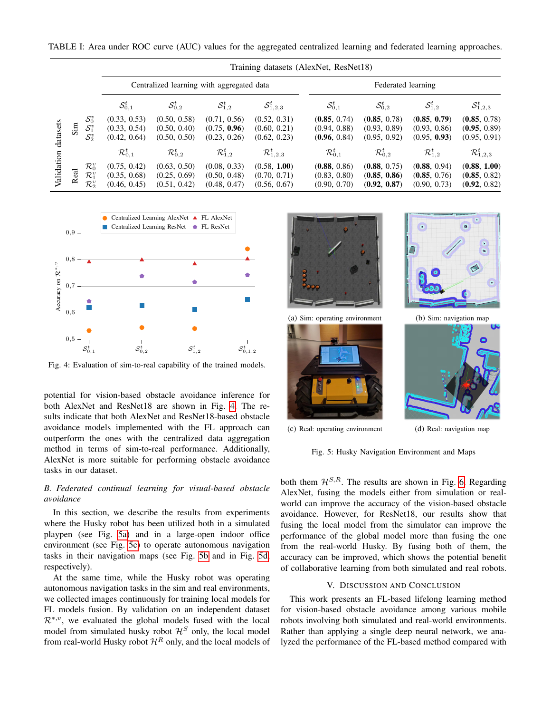<span id="page-4-0"></span>TABLE I: Area under ROC curve (AUC) values for the aggregated centralized learning and federated learning approaches.

|                        |        |                                                             | Training datasets (AlexNet, ResNet18)        |                                              |                                              |                                              |                                              |                                              |                                              |                                              |
|------------------------|--------|-------------------------------------------------------------|----------------------------------------------|----------------------------------------------|----------------------------------------------|----------------------------------------------|----------------------------------------------|----------------------------------------------|----------------------------------------------|----------------------------------------------|
|                        |        |                                                             | Centralized learning with aggregated data    |                                              |                                              |                                              | Federated learning                           |                                              |                                              |                                              |
|                        |        |                                                             | $\mathcal{S}_{0,1}^t$                        | $\mathcal{S}^t_{0,2}$                        | $\mathcal{S}_{1,2}^{t}$                      | $\mathcal{S}_{1,2,3}^{t}$                    | $\mathcal{S}^t_{0,1}$                        | $\mathcal{S}^t_{0,2}$                        | $\mathcal{S}_{1,2}^{t}$                      | $\mathcal{S}_{1,2,3}^{t}$                    |
| datasets<br>Validation | $\sin$ | $\mathcal{S}^v_0$<br>$\mathcal{S}^v_1$<br>$\mathcal{S}_2^v$ | (0.33, 0.53)<br>(0.33, 0.54)<br>(0.42, 0.64) | (0.50, 0.58)<br>(0.50, 0.40)<br>(0.50, 0.50) | (0.71, 0.56)<br>(0.75, 0.96)<br>(0.23, 0.26) | (0.52, 0.31)<br>(0.60, 0.21)<br>(0.62, 0.23) | (0.85, 0.74)<br>(0.94, 0.88)<br>(0.96, 0.84) | (0.85, 0.78)<br>(0.93, 0.89)<br>(0.95, 0.92) | (0.85, 0.79)<br>(0.93, 0.86)<br>(0.95, 0.93) | (0.85, 0.78)<br>(0.95, 0.89)<br>(0.95, 0.91) |
|                        |        |                                                             | $\mathcal{R}_{0,1}^t$                        | $\mathcal{R}_{0.2}^{t}$                      | $\mathcal{R}_{1,2}^t$                        | $\mathcal{R}_{1,2,3}^t$                      | $\mathcal{R}_{0,1}^t$                        | $\mathcal{R}_{0,2}^t$                        | $\mathcal{R}_{1,2}^t$                        | $\mathcal{R}_{1,2,3}^{t}$                    |
|                        | Real   | $\mathcal{R}_0^v$<br>$\mathcal{R}_1^v$<br>$\mathcal{R}_2^v$ | (0.75, 0.42)<br>(0.35, 0.68)<br>(0.46, 0.45) | (0.63, 0.50)<br>(0.25, 0.69)<br>(0.51, 0.42) | (0.08, 0.33)<br>(0.50, 0.48)<br>(0.48, 0.47) | (0.58, 1.00)<br>(0.70, 0.71)<br>(0.56, 0.67) | (0.88, 0.86)<br>(0.83, 0.80)<br>(0.90, 0.70) | (0.88, 0.75)<br>(0.85, 0.86)<br>(0.92, 0.87) | (0.88, 0.94)<br>(0.85, 0.76)<br>(0.90, 0.73) | (0.88, 1.00)<br>(0.85, 0.82)<br>(0.92, 0.82) |

<span id="page-4-1"></span>

Fig. 4: Evaluation of sim-to-real capability of the trained models.

potential for vision-based obstacle avoidance inference for both AlexNet and ResNet18 are shown in Fig. [4.](#page-4-1) The results indicate that both AlexNet and ResNet18-based obstacle avoidance models implemented with the FL approach can outperform the ones with the centralized data aggregation method in terms of sim-to-real performance. Additionally, AlexNet is more suitable for performing obstacle avoidance tasks in our dataset.

## *B. Federated continual learning for visual-based obstacle avoidance*

In this section, we describe the results from experiments where the Husky robot has been utilized both in a simulated playpen (see Fig. [5a\)](#page-4-2) and in a large-open indoor office environment (see Fig. [5c\)](#page-4-2) to operate autonomous navigation tasks in their navigation maps (see Fig. [5b](#page-4-2) and in Fig. [5d,](#page-4-2) respectively).

At the same time, while the Husky robot was operating autonomous navigation tasks in the sim and real environments, we collected images continuously for training local models for FL models fusion. By validation on an independent dataset  $\mathcal{R}^{*,v}$ , we evaluated the global models fused with the local model from simulated husky robot  $\mathcal{H}^S$  only, the local model from real-world Husky robot  $\mathcal{H}^R$  only, and the local models of

<span id="page-4-2"></span>

Fig. 5: Husky Navigation Environment and Maps

both them  $\mathcal{H}^{S,R}$ . The results are shown in Fig. [6.](#page-5-25) Regarding AlexNet, fusing the models either from simulation or realworld can improve the accuracy of the vision-based obstacle avoidance. However, for ResNet18, our results show that fusing the local model from the simulator can improve the performance of the global model more than fusing the one from the real-world Husky. By fusing both of them, the accuracy can be improved, which shows the potential benefit of collaborative learning from both simulated and real robots.

#### V. DISCUSSION AND CONCLUSION

This work presents an FL-based lifelong learning method for vision-based obstacle avoidance among various mobile robots involving both simulated and real-world environments. Rather than applying a single deep neural network, we analyzed the performance of the FL-based method compared with